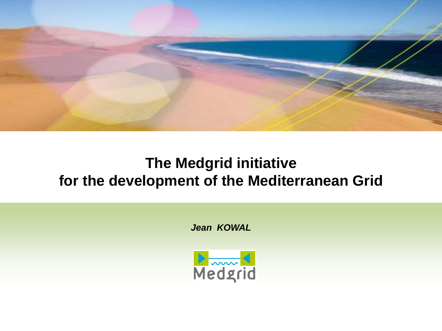

#### **The Medgrid initiative for the development of the Mediterranean Grid**

*Jean KOWAL*

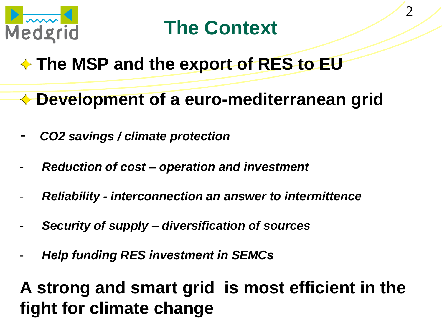

# **The Context**

# **The MSP and the export of RES to EU**

- **Development of a euro-mediterranean grid**
- *- CO2 savings / climate protection*
- *Reduction of cost – operation and investment*
- *Reliability - interconnection an answer to intermittence*
- *Security of supply – diversification of sources*
- *Help funding RES investment in SEMCs*

# **A strong and smart grid is most efficient in the fight** for climate change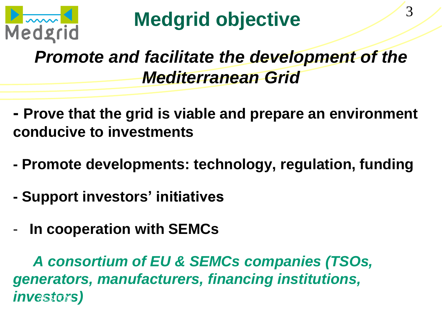

# *Promote and facilitate the development of the Mediterranean Grid*

- **- Prove that the grid is viable and prepare an environment conducive to investments**
- **- Promote developments: technology, regulation, funding**
- **- Support investors' initiatives**
- **In cooperation with SEMCs**

 *A consortium of EU & SEMCs companies (TSOs, generators, manufacturers, financing institutions,*   $investors$ *)*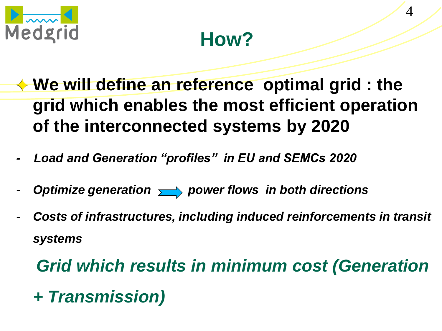



4

- **We will define an reference optimal grid : the grid which enables the most efficient operation of the interconnected systems by 2020**
- Load and Generation "profiles" in EU and SEMCs 2020
- Optimize generation  $\longrightarrow$  power flows in both directions
- *Costs of infrastructures, including induced reinforcements in transit systems*

*Grid which results in minimum cost (Generation + Transmission)*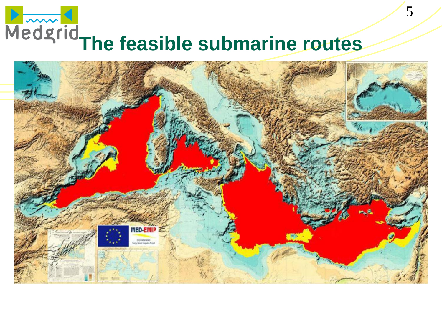# **Medgrid**<br>
The feasible submarine routes

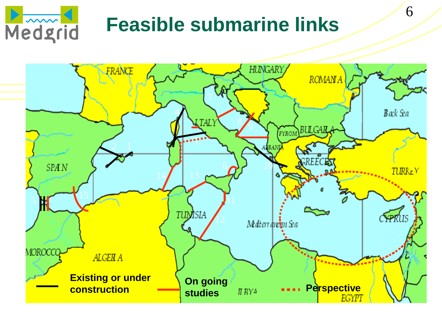

# **Feasible submarine links**

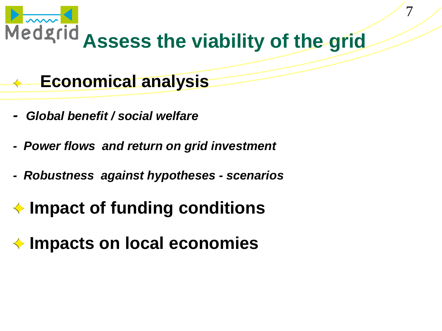

7

#### **Economical analysis**  $\left\langle \mathbf{r}^{\prime }\right\rangle$

- *Global benefit / social welfare*
- *Power flows and return on grid investment*
- *Robustness against hypotheses - scenarios*

# **Impact of funding conditions**

## **Impacts on local economies**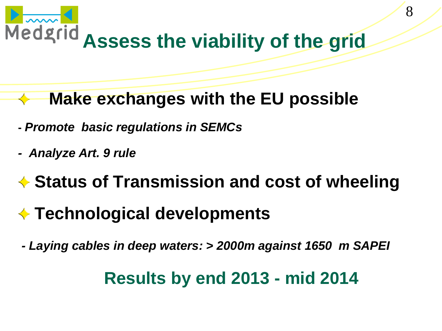

- **Make exchanges with the EU possible**
- **-** *Promote basic regulations in SEMCs*
- *Analyze Art. 9 rule*
- **◆ Status of Transmission and cost of wheeling**
- **Technological developments**
- *- Laying cables in deep waters: > 2000m against 1650 m SAPEI*

### **Results by end 2013 - mid 2014**